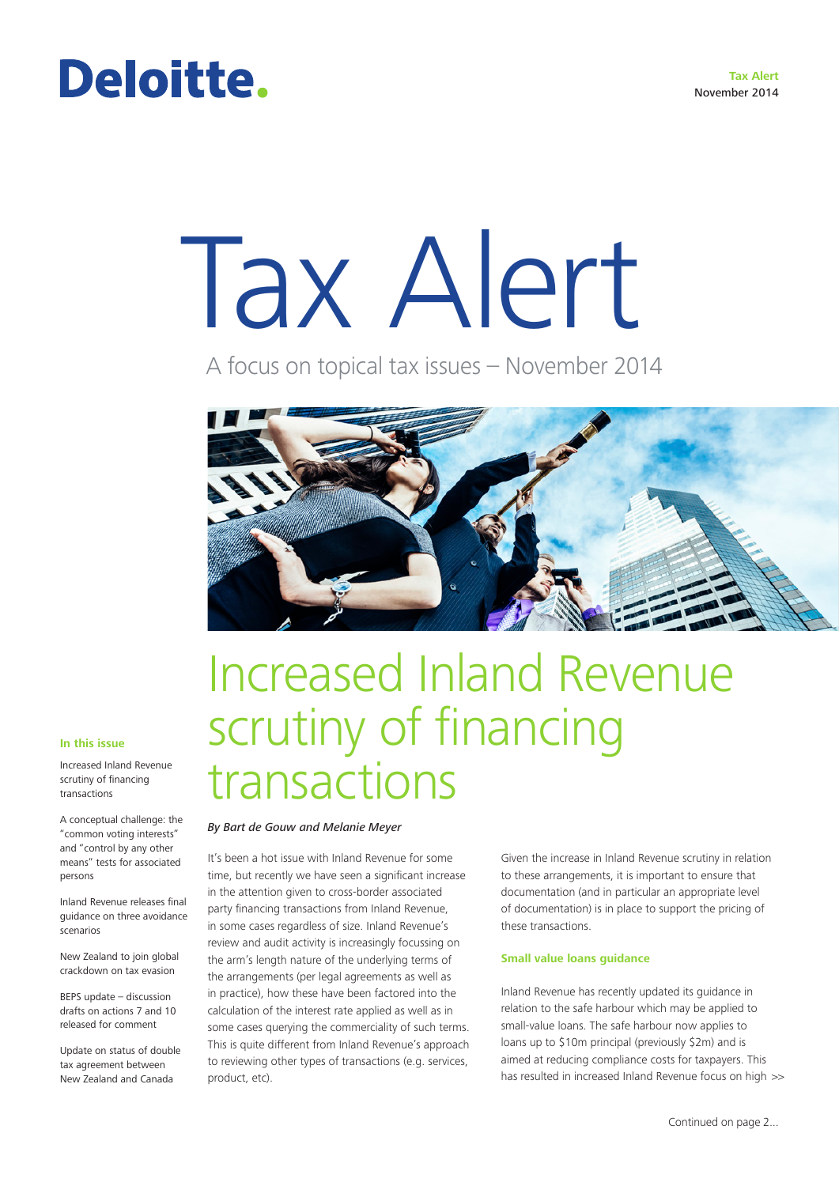# Deloitte.

# Tax Alert

A focus on topical tax issues – November 2014



#### **In this issue**

Increased Inland Revenue scrutiny of financing transactions

A conceptual challenge: the "common voting interests" and "control by any other means" tests for associated persons

Inland Revenue releases final guidance on three avoidance scenarios

New Zealand to join global crackdown on tax evasion

BEPS update – discussion drafts on actions 7 and 10 released for comment

Update on status of double tax agreement between

### Increased Inland Revenue scrutiny of financing transactions

#### *By Bart de Gouw and Melanie Meyer*

It's been a hot issue with Inland Revenue for some time, but recently we have seen a significant increase in the attention given to cross-border associated party financing transactions from Inland Revenue, in some cases regardless of size. Inland Revenue's review and audit activity is increasingly focussing on the arm's length nature of the underlying terms of the arrangements (per legal agreements as well as in practice), how these have been factored into the calculation of the interest rate applied as well as in some cases querying the commerciality of such terms. This is quite different from Inland Revenue's approach to reviewing other types of transactions (e.g. services, product, etc).

Given the increase in Inland Revenue scrutiny in relation to these arrangements, it is important to ensure that documentation (and in particular an appropriate level of documentation) is in place to support the pricing of these transactions.

#### **Small value loans guidance**

Inland Revenue has recently updated its guidance in relation to the safe harbour which may be applied to small-value loans. The safe harbour now applies to loans up to \$10m principal (previously \$2m) and is aimed at reducing compliance costs for taxpayers. This New Zealand and Canada straggle of the product, etc). The strategies of the second that is essulted in increased Inland Revenue focus on high  $\gg$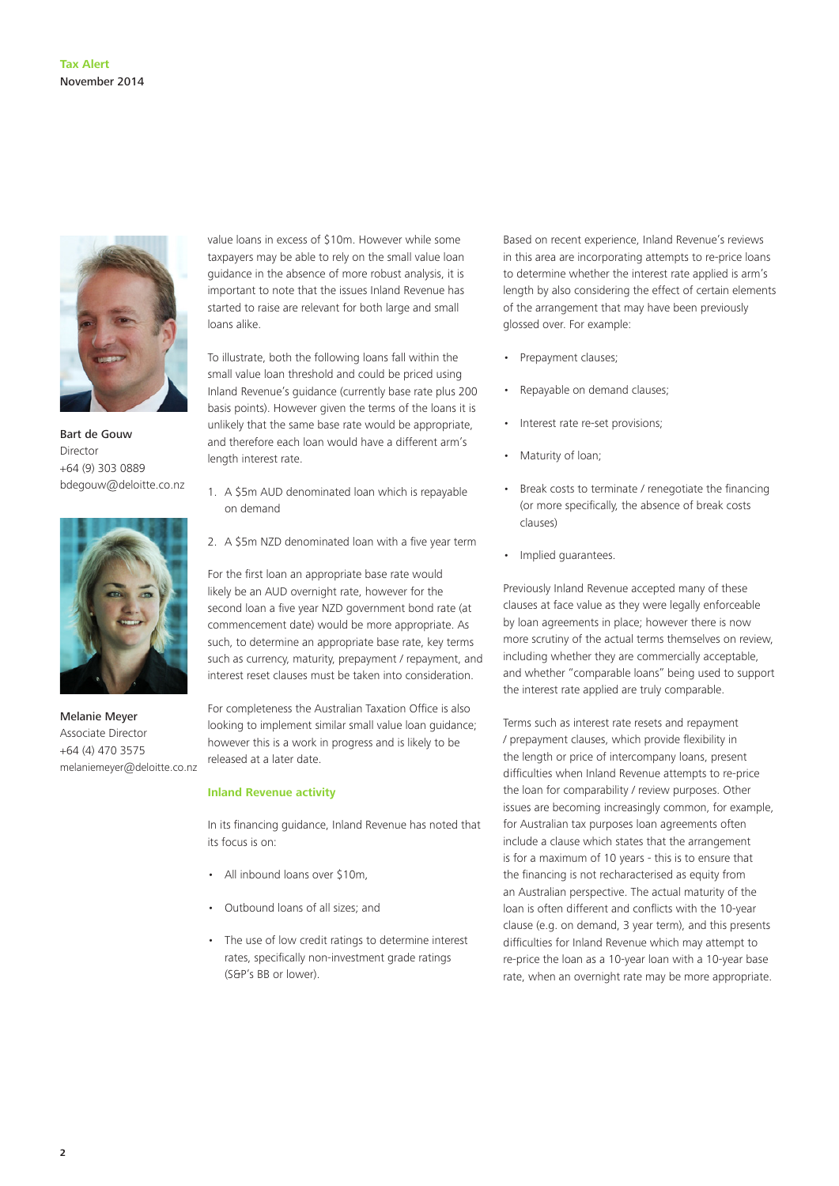

Bart de Gouw Director +64 (9) 303 0889 bdegouw@deloitte.co.nz



Melanie Meyer Associate Director +64 (4) 470 3575 melaniemeyer@deloitte.co.nz

value loans in excess of \$10m. However while some taxpayers may be able to rely on the small value loan guidance in the absence of more robust analysis, it is important to note that the issues Inland Revenue has started to raise are relevant for both large and small loans alike.

To illustrate, both the following loans fall within the small value loan threshold and could be priced using Inland Revenue's guidance (currently base rate plus 200 basis points). However given the terms of the loans it is unlikely that the same base rate would be appropriate, and therefore each loan would have a different arm's length interest rate.

- 1. A \$5m AUD denominated loan which is repayable on demand
- 2. A \$5m NZD denominated loan with a five year term

For the first loan an appropriate base rate would likely be an AUD overnight rate, however for the second loan a five year NZD government bond rate (at commencement date) would be more appropriate. As such, to determine an appropriate base rate, key terms such as currency, maturity, prepayment / repayment, and interest reset clauses must be taken into consideration.

For completeness the Australian Taxation Office is also looking to implement similar small value loan guidance; however this is a work in progress and is likely to be released at a later date.

#### **Inland Revenue activity**

In its financing guidance, Inland Revenue has noted that its focus is on:

- All inbound loans over \$10m
- Outbound loans of all sizes; and
- The use of low credit ratings to determine interest rates, specifically non-investment grade ratings (S&P's BB or lower).

Based on recent experience, Inland Revenue's reviews in this area are incorporating attempts to re-price loans to determine whether the interest rate applied is arm's length by also considering the effect of certain elements of the arrangement that may have been previously glossed over. For example:

- Prepayment clauses;
- Repayable on demand clauses;
- Interest rate re-set provisions;
- Maturity of loan;
- Break costs to terminate / renegotiate the financing (or more specifically, the absence of break costs clauses)
- Implied guarantees.

Previously Inland Revenue accepted many of these clauses at face value as they were legally enforceable by loan agreements in place; however there is now more scrutiny of the actual terms themselves on review, including whether they are commercially acceptable, and whether "comparable loans" being used to support the interest rate applied are truly comparable.

Terms such as interest rate resets and repayment / prepayment clauses, which provide flexibility in the length or price of intercompany loans, present difficulties when Inland Revenue attempts to re-price the loan for comparability / review purposes. Other issues are becoming increasingly common, for example, for Australian tax purposes loan agreements often include a clause which states that the arrangement is for a maximum of 10 years - this is to ensure that the financing is not recharacterised as equity from an Australian perspective. The actual maturity of the loan is often different and conflicts with the 10-year clause (e.g. on demand, 3 year term), and this presents difficulties for Inland Revenue which may attempt to re-price the loan as a 10-year loan with a 10-year base rate, when an overnight rate may be more appropriate.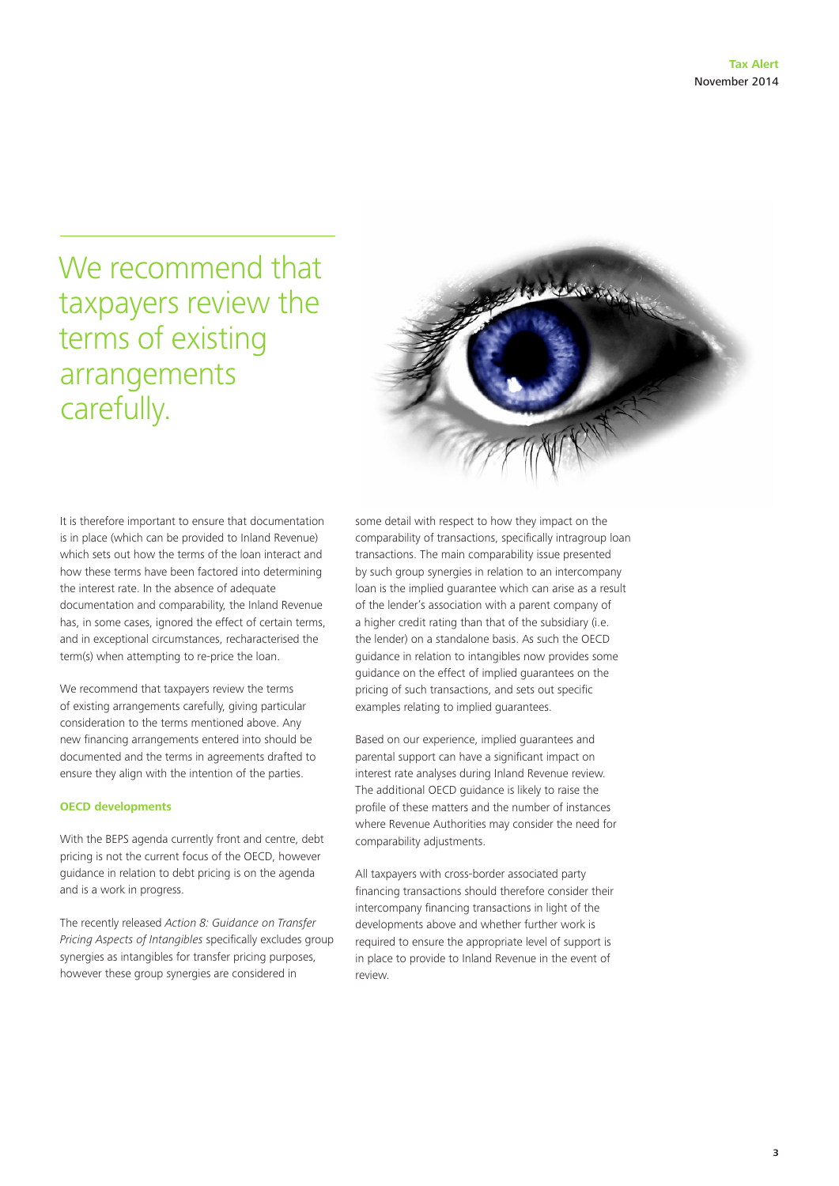### We recommend that taxpayers review the terms of existing arrangements carefully.



It is therefore important to ensure that documentation is in place (which can be provided to Inland Revenue) which sets out how the terms of the loan interact and how these terms have been factored into determining the interest rate. In the absence of adequate documentation and comparability, the Inland Revenue has, in some cases, ignored the effect of certain terms, and in exceptional circumstances, recharacterised the term(s) when attempting to re-price the loan.

We recommend that taxpayers review the terms of existing arrangements carefully, giving particular consideration to the terms mentioned above. Any new financing arrangements entered into should be documented and the terms in agreements drafted to ensure they align with the intention of the parties.

#### **OECD developments**

With the BEPS agenda currently front and centre, debt pricing is not the current focus of the OECD, however guidance in relation to debt pricing is on the agenda and is a work in progress.

The recently released *Action 8: Guidance on Transfer Pricing Aspects of Intangibles* specifically excludes group synergies as intangibles for transfer pricing purposes, however these group synergies are considered in

some detail with respect to how they impact on the comparability of transactions, specifically intragroup loan transactions. The main comparability issue presented by such group synergies in relation to an intercompany loan is the implied guarantee which can arise as a result of the lender's association with a parent company of a higher credit rating than that of the subsidiary (i.e. the lender) on a standalone basis. As such the OECD guidance in relation to intangibles now provides some guidance on the effect of implied guarantees on the pricing of such transactions, and sets out specific examples relating to implied guarantees.

Based on our experience, implied guarantees and parental support can have a significant impact on interest rate analyses during Inland Revenue review. The additional OECD guidance is likely to raise the profile of these matters and the number of instances where Revenue Authorities may consider the need for comparability adjustments.

All taxpayers with cross-border associated party financing transactions should therefore consider their intercompany financing transactions in light of the developments above and whether further work is required to ensure the appropriate level of support is in place to provide to Inland Revenue in the event of review.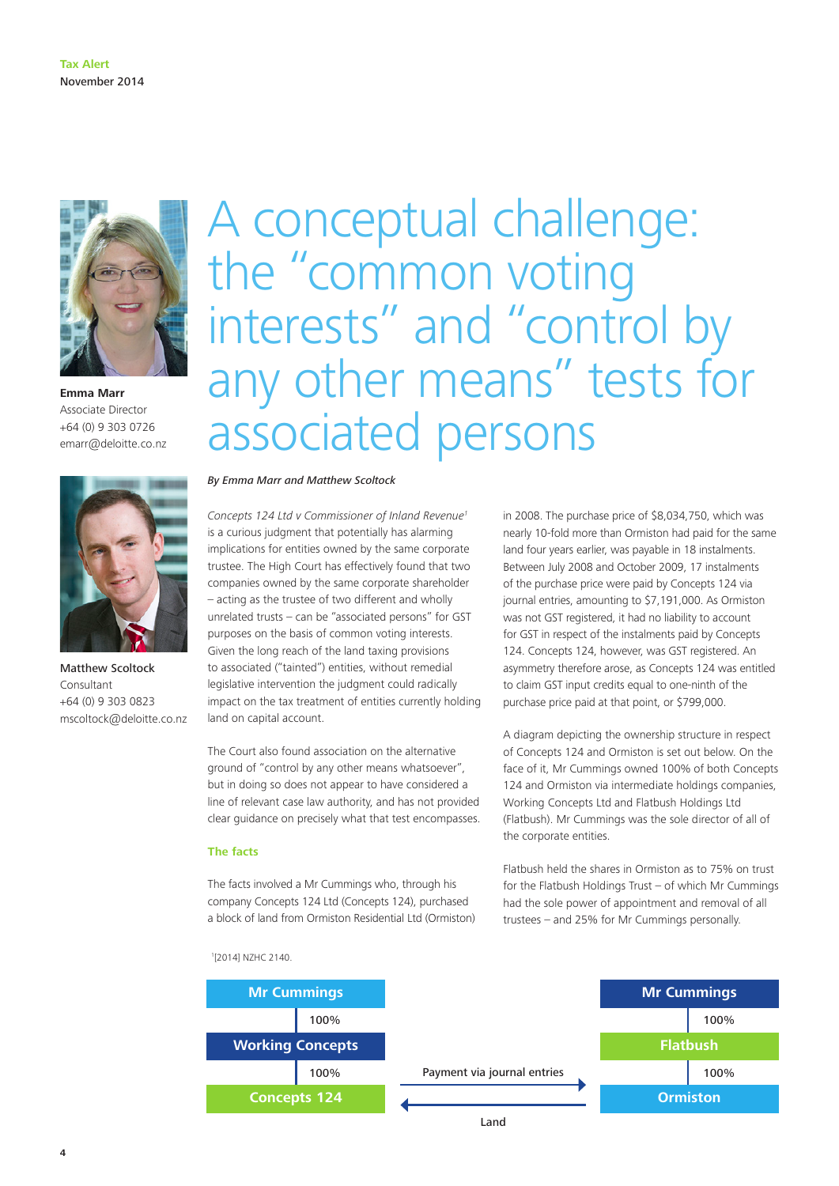

**Emma Marr** Associate Director +64 (0) 9 303 0726 emarr@deloitte.co.nz



Matthew Scoltock Consultant +64 (0) 9 303 0823 mscoltock@deloitte.co.nz

### A conceptual challenge: the "common voting interests" and "control by any other means" tests for associated persons

*By Emma Marr and Matthew Scoltock*

*Concepts 124 Ltd v Commissioner of Inland Revenue1* is a curious judgment that potentially has alarming implications for entities owned by the same corporate trustee. The High Court has effectively found that two companies owned by the same corporate shareholder – acting as the trustee of two different and wholly unrelated trusts – can be "associated persons" for GST purposes on the basis of common voting interests. Given the long reach of the land taxing provisions to associated ("tainted") entities, without remedial legislative intervention the judgment could radically impact on the tax treatment of entities currently holding land on capital account.

The Court also found association on the alternative ground of "control by any other means whatsoever", but in doing so does not appear to have considered a line of relevant case law authority, and has not provided clear guidance on precisely what that test encompasses.

#### **The facts**

The facts involved a Mr Cummings who, through his company Concepts 124 Ltd (Concepts 124), purchased a block of land from Ormiston Residential Ltd (Ormiston) in 2008. The purchase price of \$8,034,750, which was nearly 10-fold more than Ormiston had paid for the same land four years earlier, was payable in 18 instalments. Between July 2008 and October 2009, 17 instalments of the purchase price were paid by Concepts 124 via journal entries, amounting to \$7,191,000. As Ormiston was not GST registered, it had no liability to account for GST in respect of the instalments paid by Concepts 124. Concepts 124, however, was GST registered. An asymmetry therefore arose, as Concepts 124 was entitled to claim GST input credits equal to one-ninth of the purchase price paid at that point, or \$799,000.

A diagram depicting the ownership structure in respect of Concepts 124 and Ormiston is set out below. On the face of it, Mr Cummings owned 100% of both Concepts 124 and Ormiston via intermediate holdings companies, Working Concepts Ltd and Flatbush Holdings Ltd (Flatbush). Mr Cummings was the sole director of all of the corporate entities.

Flatbush held the shares in Ormiston as to 75% on trust for the Flatbush Holdings Trust – of which Mr Cummings had the sole power of appointment and removal of all trustees – and 25% for Mr Cummings personally.

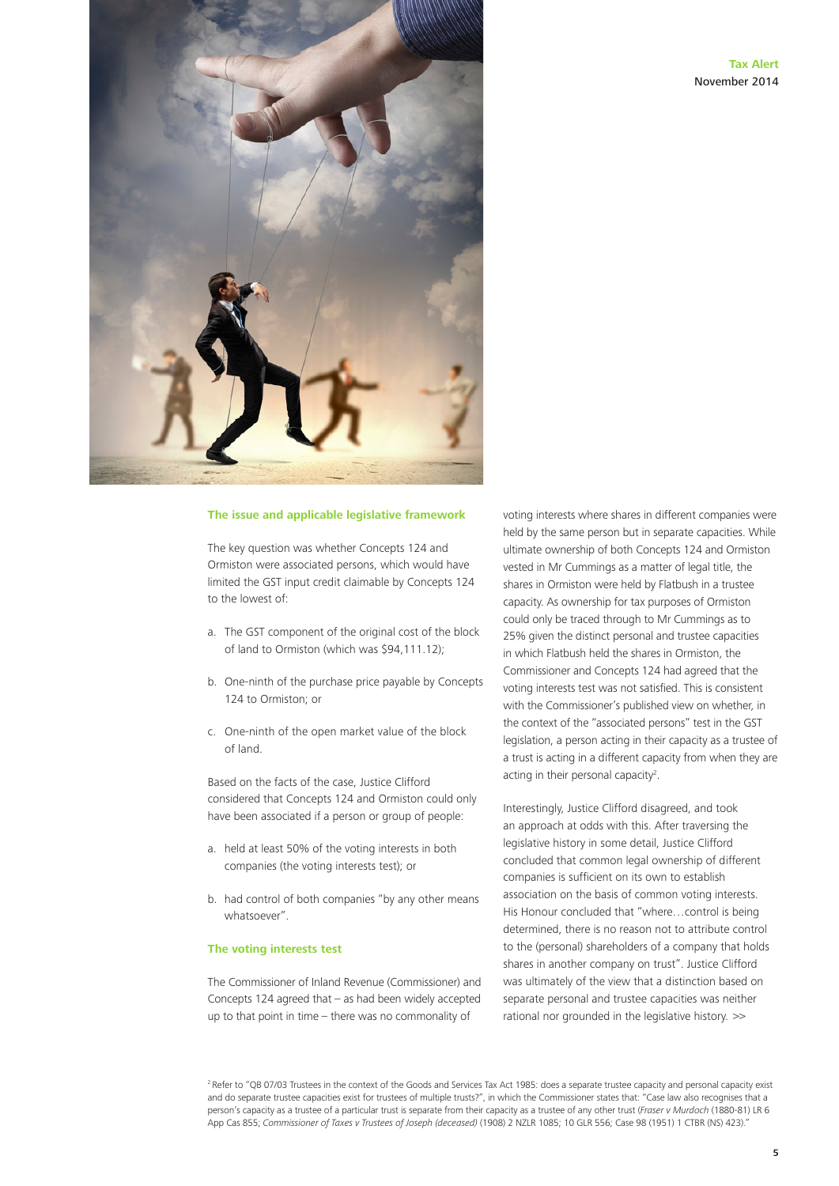

#### **The issue and applicable legislative framework**

The key question was whether Concepts 124 and Ormiston were associated persons, which would have limited the GST input credit claimable by Concepts 124 to the lowest of:

- a. The GST component of the original cost of the block of land to Ormiston (which was \$94,111.12);
- b. One-ninth of the purchase price payable by Concepts 124 to Ormiston; or
- c. One-ninth of the open market value of the block of land.

Based on the facts of the case, Justice Clifford considered that Concepts 124 and Ormiston could only have been associated if a person or group of people:

- a. held at least 50% of the voting interests in both companies (the voting interests test); or
- b. had control of both companies "by any other means whatsoever".

#### **The voting interests test**

The Commissioner of Inland Revenue (Commissioner) and Concepts 124 agreed that – as had been widely accepted up to that point in time – there was no commonality of

voting interests where shares in different companies were held by the same person but in separate capacities. While ultimate ownership of both Concepts 124 and Ormiston vested in Mr Cummings as a matter of legal title, the shares in Ormiston were held by Flatbush in a trustee capacity. As ownership for tax purposes of Ormiston could only be traced through to Mr Cummings as to 25% given the distinct personal and trustee capacities in which Flatbush held the shares in Ormiston, the Commissioner and Concepts 124 had agreed that the voting interests test was not satisfied. This is consistent with the Commissioner's published view on whether, in the context of the "associated persons" test in the GST legislation, a person acting in their capacity as a trustee of a trust is acting in a different capacity from when they are acting in their personal capacity<sup>2</sup>.

Interestingly, Justice Clifford disagreed, and took an approach at odds with this. After traversing the legislative history in some detail, Justice Clifford concluded that common legal ownership of different companies is sufficient on its own to establish association on the basis of common voting interests. His Honour concluded that "where…control is being determined, there is no reason not to attribute control to the (personal) shareholders of a company that holds shares in another company on trust". Justice Clifford was ultimately of the view that a distinction based on separate personal and trustee capacities was neither rational nor grounded in the legislative history. >>

<sup>2</sup> Refer to "QB 07/03 Trustees in the context of the Goods and Services Tax Act 1985: does a separate trustee capacity and personal capacity exist and do separate trustee capacities exist for trustees of multiple trusts?", in which the Commissioner states that: "Case law also recognises that a person's capacity as a trustee of a particular trust is separate from their capacity as a trustee of any other trust (*Fraser v Murdoch* (1880-81) LR 6 App Cas 855; *Commissioner of Taxes v Trustees of Joseph (deceased)* (1908) 2 NZLR 1085; 10 GLR 556; Case 98 (1951) 1 CTBR (NS) 423)."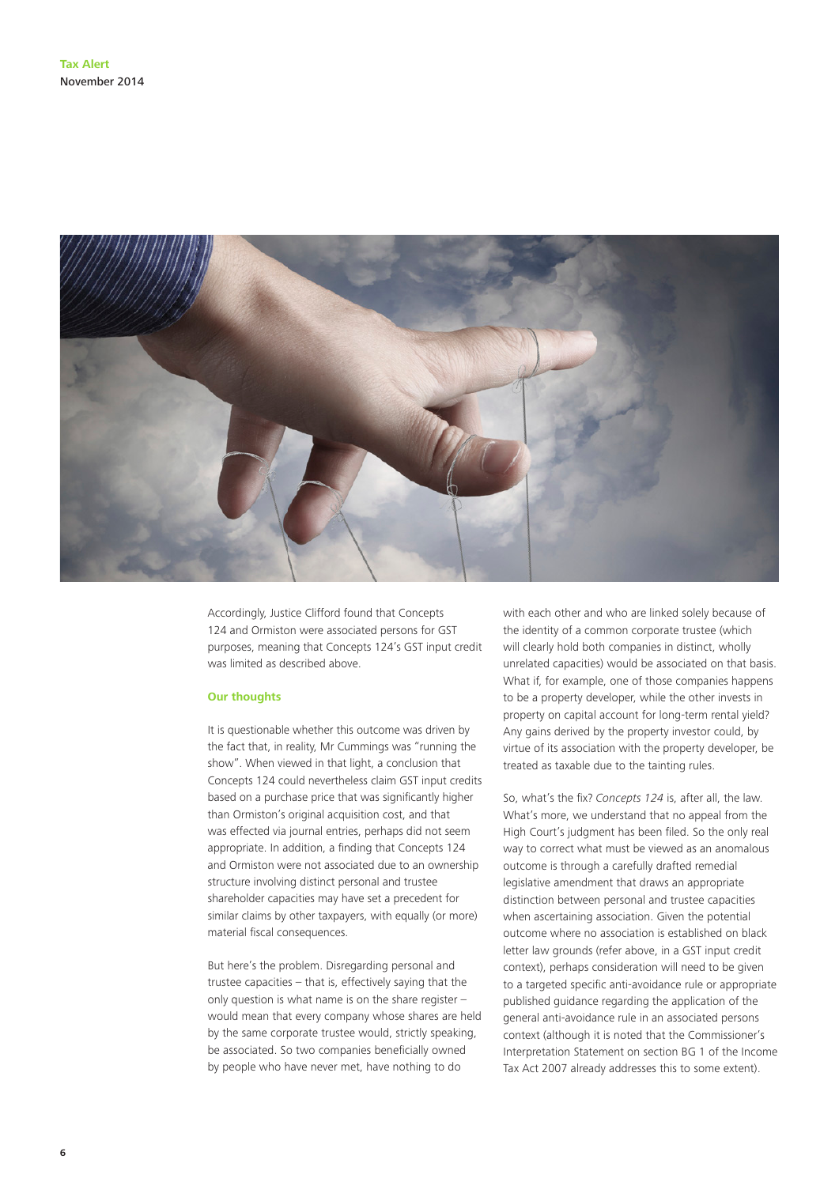

Accordingly, Justice Clifford found that Concepts 124 and Ormiston were associated persons for GST purposes, meaning that Concepts 124's GST input credit was limited as described above.

#### **Our thoughts**

It is questionable whether this outcome was driven by the fact that, in reality, Mr Cummings was "running the show". When viewed in that light, a conclusion that Concepts 124 could nevertheless claim GST input credits based on a purchase price that was significantly higher than Ormiston's original acquisition cost, and that was effected via journal entries, perhaps did not seem appropriate. In addition, a finding that Concepts 124 and Ormiston were not associated due to an ownership structure involving distinct personal and trustee shareholder capacities may have set a precedent for similar claims by other taxpayers, with equally (or more) material fiscal consequences.

But here's the problem. Disregarding personal and trustee capacities – that is, effectively saying that the only question is what name is on the share register – would mean that every company whose shares are held by the same corporate trustee would, strictly speaking, be associated. So two companies beneficially owned by people who have never met, have nothing to do

with each other and who are linked solely because of the identity of a common corporate trustee (which will clearly hold both companies in distinct, wholly unrelated capacities) would be associated on that basis. What if, for example, one of those companies happens to be a property developer, while the other invests in property on capital account for long-term rental yield? Any gains derived by the property investor could, by virtue of its association with the property developer, be treated as taxable due to the tainting rules.

So, what's the fix? *Concepts 124* is, after all, the law. What's more, we understand that no appeal from the High Court's judgment has been filed. So the only real way to correct what must be viewed as an anomalous outcome is through a carefully drafted remedial legislative amendment that draws an appropriate distinction between personal and trustee capacities when ascertaining association. Given the potential outcome where no association is established on black letter law grounds (refer above, in a GST input credit context), perhaps consideration will need to be given to a targeted specific anti-avoidance rule or appropriate published guidance regarding the application of the general anti-avoidance rule in an associated persons context (although it is noted that the Commissioner's Interpretation Statement on section BG 1 of the Income Tax Act 2007 already addresses this to some extent).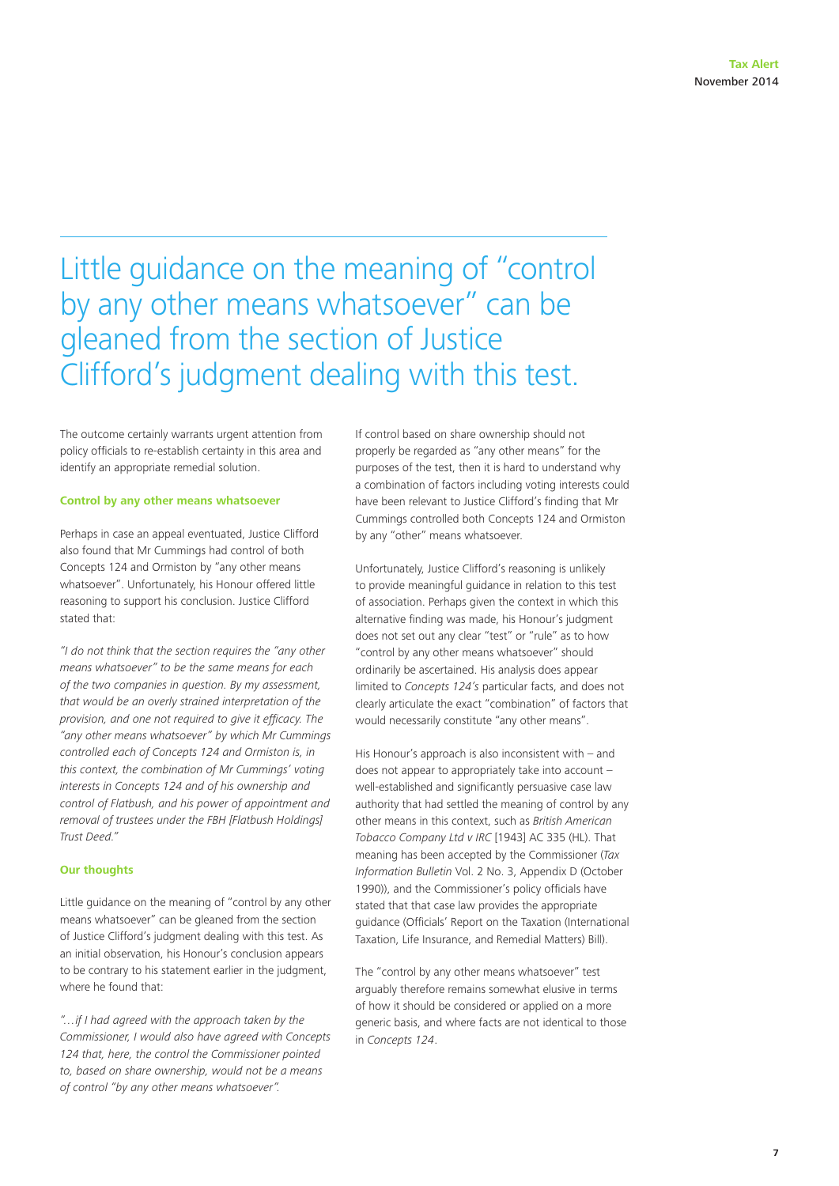### Little guidance on the meaning of "control by any other means whatsoever" can be gleaned from the section of Justice Clifford's judgment dealing with this test.

The outcome certainly warrants urgent attention from policy officials to re-establish certainty in this area and identify an appropriate remedial solution.

#### **Control by any other means whatsoever**

Perhaps in case an appeal eventuated, Justice Clifford also found that Mr Cummings had control of both Concepts 124 and Ormiston by "any other means whatsoever". Unfortunately, his Honour offered little reasoning to support his conclusion. Justice Clifford stated that:

*"I do not think that the section requires the "any other means whatsoever" to be the same means for each of the two companies in question. By my assessment, that would be an overly strained interpretation of the provision, and one not required to give it efficacy. The "any other means whatsoever" by which Mr Cummings controlled each of Concepts 124 and Ormiston is, in this context, the combination of Mr Cummings' voting interests in Concepts 124 and of his ownership and control of Flatbush, and his power of appointment and removal of trustees under the FBH [Flatbush Holdings] Trust Deed."*

#### **Our thoughts**

Little guidance on the meaning of "control by any other means whatsoever" can be gleaned from the section of Justice Clifford's judgment dealing with this test. As an initial observation, his Honour's conclusion appears to be contrary to his statement earlier in the judgment, where he found that:

*"…if I had agreed with the approach taken by the Commissioner, I would also have agreed with Concepts 124 that, here, the control the Commissioner pointed to, based on share ownership, would not be a means of control "by any other means whatsoever".*

If control based on share ownership should not properly be regarded as "any other means" for the purposes of the test, then it is hard to understand why a combination of factors including voting interests could have been relevant to Justice Clifford's finding that Mr Cummings controlled both Concepts 124 and Ormiston by any "other" means whatsoever.

Unfortunately, Justice Clifford's reasoning is unlikely to provide meaningful guidance in relation to this test of association. Perhaps given the context in which this alternative finding was made, his Honour's judgment does not set out any clear "test" or "rule" as to how "control by any other means whatsoever" should ordinarily be ascertained. His analysis does appear limited to *Concepts 124's* particular facts, and does not clearly articulate the exact "combination" of factors that would necessarily constitute "any other means".

His Honour's approach is also inconsistent with – and does not appear to appropriately take into account – well-established and significantly persuasive case law authority that had settled the meaning of control by any other means in this context, such as *British American Tobacco Company Ltd v IRC* [1943] AC 335 (HL). That meaning has been accepted by the Commissioner (*Tax Information Bulletin* Vol. 2 No. 3, Appendix D (October 1990)), and the Commissioner's policy officials have stated that that case law provides the appropriate guidance (Officials' Report on the Taxation (International Taxation, Life Insurance, and Remedial Matters) Bill).

The "control by any other means whatsoever" test arguably therefore remains somewhat elusive in terms of how it should be considered or applied on a more generic basis, and where facts are not identical to those in *Concepts 124*.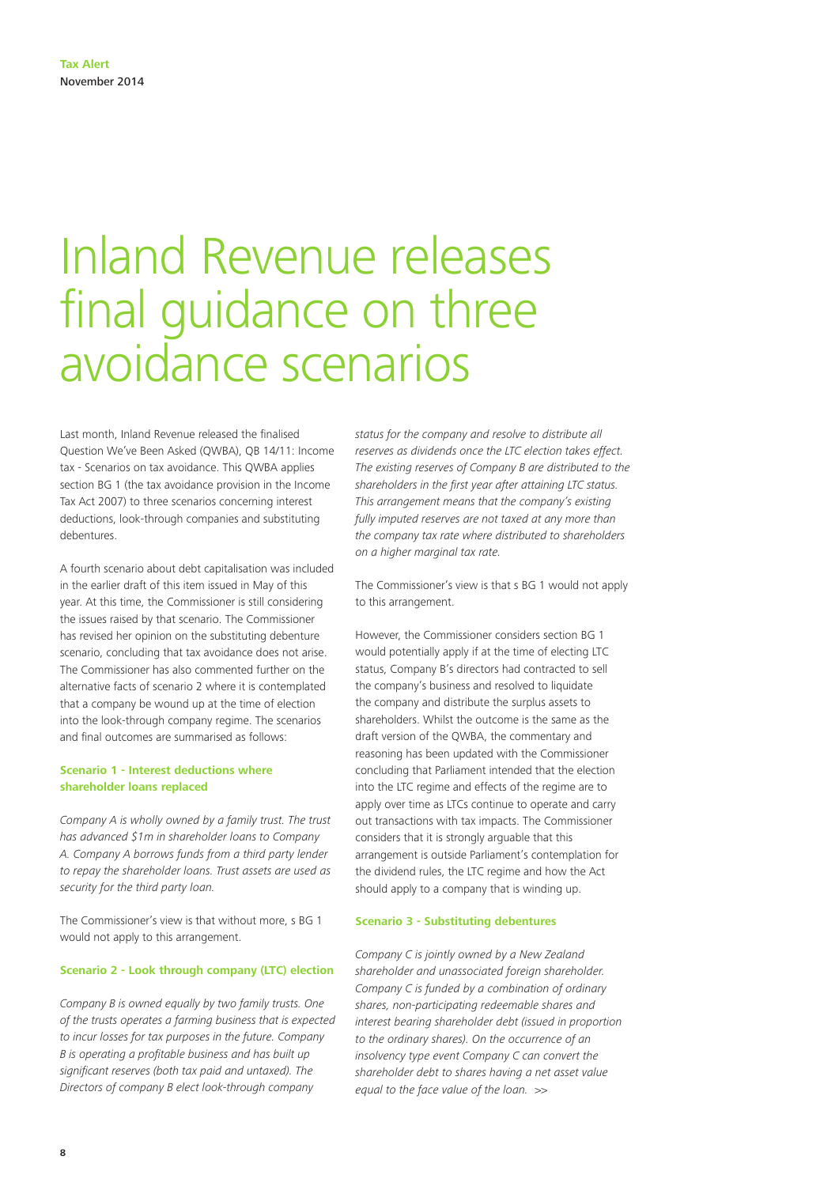### Inland Revenue releases final guidance on three avoidance scenarios

Last month, Inland Revenue released the finalised Question We've Been Asked (QWBA), QB 14/11: Income tax - Scenarios on tax avoidance. This QWBA applies section BG 1 (the tax avoidance provision in the Income Tax Act 2007) to three scenarios concerning interest deductions, look-through companies and substituting debentures.

A fourth scenario about debt capitalisation was included in the earlier draft of this item issued in May of this year. At this time, the Commissioner is still considering the issues raised by that scenario. The Commissioner has revised her opinion on the substituting debenture scenario, concluding that tax avoidance does not arise. The Commissioner has also commented further on the alternative facts of scenario 2 where it is contemplated that a company be wound up at the time of election into the look-through company regime. The scenarios and final outcomes are summarised as follows:

#### **Scenario 1 - Interest deductions where shareholder loans replaced**

*Company A is wholly owned by a family trust. The trust has advanced \$1m in shareholder loans to Company A. Company A borrows funds from a third party lender to repay the shareholder loans. Trust assets are used as security for the third party loan.*

The Commissioner's view is that without more, s BG 1 would not apply to this arrangement.

#### **Scenario 2 - Look through company (LTC) election**

*Company B is owned equally by two family trusts. One of the trusts operates a farming business that is expected to incur losses for tax purposes in the future. Company B is operating a profitable business and has built up significant reserves (both tax paid and untaxed). The Directors of company B elect look-through company* 

*status for the company and resolve to distribute all reserves as dividends once the LTC election takes effect. The existing reserves of Company B are distributed to the shareholders in the first year after attaining LTC status. This arrangement means that the company's existing fully imputed reserves are not taxed at any more than the company tax rate where distributed to shareholders on a higher marginal tax rate.*

The Commissioner's view is that s BG 1 would not apply to this arrangement.

However, the Commissioner considers section BG 1 would potentially apply if at the time of electing LTC status, Company B's directors had contracted to sell the company's business and resolved to liquidate the company and distribute the surplus assets to shareholders. Whilst the outcome is the same as the draft version of the QWBA, the commentary and reasoning has been updated with the Commissioner concluding that Parliament intended that the election into the LTC regime and effects of the regime are to apply over time as LTCs continue to operate and carry out transactions with tax impacts. The Commissioner considers that it is strongly arguable that this arrangement is outside Parliament's contemplation for the dividend rules, the LTC regime and how the Act should apply to a company that is winding up.

#### **Scenario 3 - Substituting debentures**

*Company C is jointly owned by a New Zealand shareholder and unassociated foreign shareholder. Company C is funded by a combination of ordinary shares, non-participating redeemable shares and interest bearing shareholder debt (issued in proportion to the ordinary shares). On the occurrence of an insolvency type event Company C can convert the shareholder debt to shares having a net asset value equal to the face value of the loan.* >>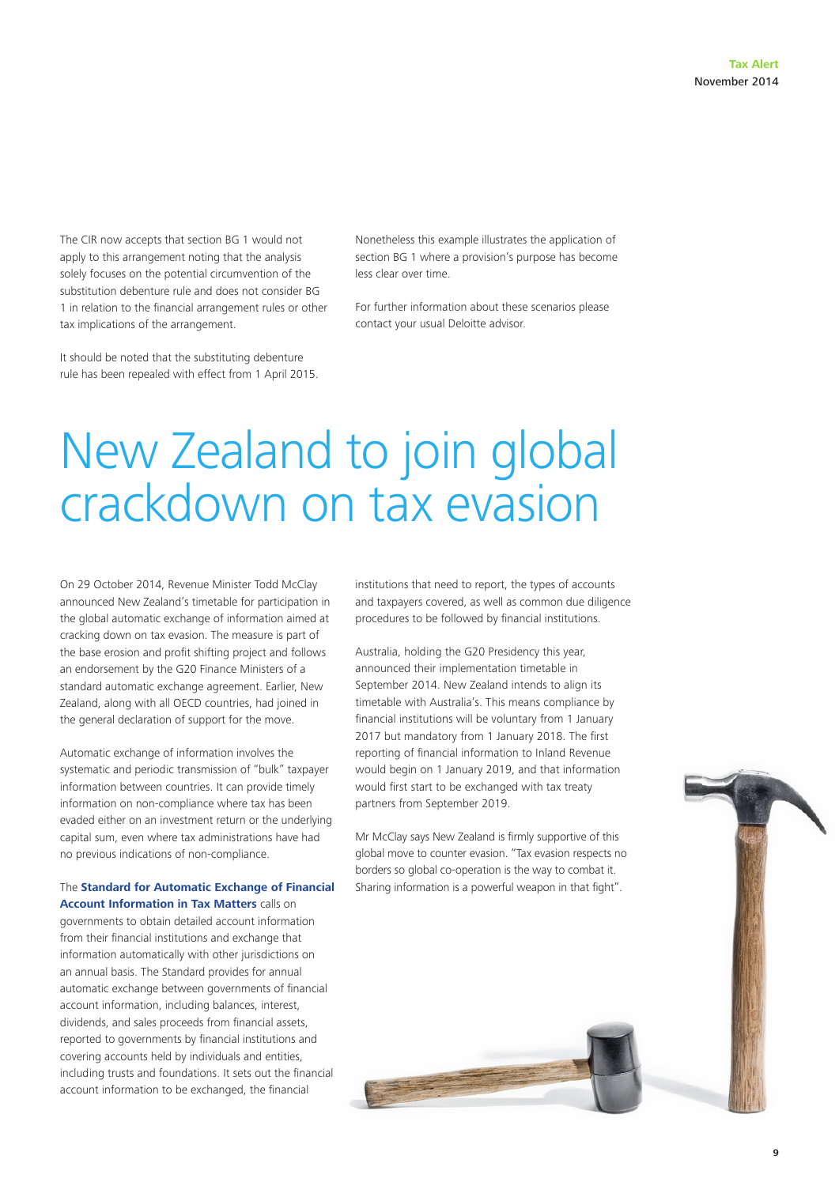The CIR now accepts that section BG 1 would not apply to this arrangement noting that the analysis solely focuses on the potential circumvention of the substitution debenture rule and does not consider BG 1 in relation to the financial arrangement rules or other tax implications of the arrangement.

It should be noted that the substituting debenture rule has been repealed with effect from 1 April 2015. Nonetheless this example illustrates the application of section BG 1 where a provision's purpose has become less clear over time.

For further information about these scenarios please contact your usual Deloitte advisor.

# New Zealand to join global crackdown on tax evasion

On 29 October 2014, Revenue Minister Todd McClay announced New Zealand's timetable for participation in the global automatic exchange of information aimed at cracking down on tax evasion. The measure is part of the base erosion and profit shifting project and follows an endorsement by the G20 Finance Ministers of a standard automatic exchange agreement. Earlier, New Zealand, along with all OECD countries, had joined in the general declaration of support for the move.

Automatic exchange of information involves the systematic and periodic transmission of "bulk" taxpayer information between countries. It can provide timely information on non-compliance where tax has been evaded either on an investment return or the underlying capital sum, even where tax administrations have had no previous indications of non-compliance.

#### The **[Standard for Automatic Exchange of Financial](http://www.oecd-ilibrary.org/fr/taxation/standard-for-automatic-exchange-of-financial-account-information-for-tax-matters_9789264216525-en)  [Account Information in Tax Matters](http://www.oecd-ilibrary.org/fr/taxation/standard-for-automatic-exchange-of-financial-account-information-for-tax-matters_9789264216525-en)** calls on

governments to obtain detailed account information from their financial institutions and exchange that information automatically with other jurisdictions on an annual basis. The Standard provides for annual automatic exchange between governments of financial account information, including balances, interest, dividends, and sales proceeds from financial assets, reported to governments by financial institutions and covering accounts held by individuals and entities, including trusts and foundations. It sets out the financial account information to be exchanged, the financial

institutions that need to report, the types of accounts and taxpayers covered, as well as common due diligence procedures to be followed by financial institutions.

Australia, holding the G20 Presidency this year, announced their implementation timetable in September 2014. New Zealand intends to align its timetable with Australia's. This means compliance by financial institutions will be voluntary from 1 January 2017 but mandatory from 1 January 2018. The first reporting of financial information to Inland Revenue would begin on 1 January 2019, and that information would first start to be exchanged with tax treaty partners from September 2019.

Mr McClay says New Zealand is firmly supportive of this global move to counter evasion. "Tax evasion respects no borders so global co-operation is the way to combat it. Sharing information is a powerful weapon in that fight".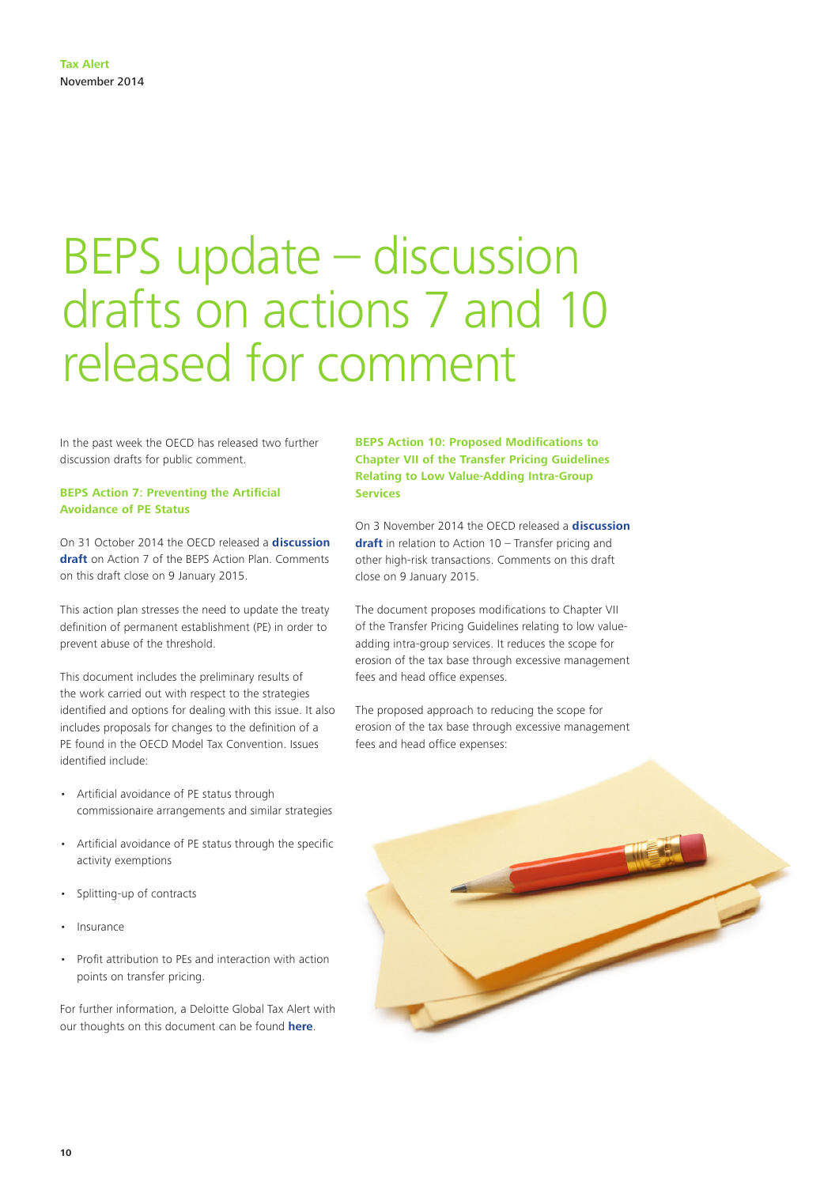# BEPS update – discussion drafts on actions 7 and 10 released for comment

In the past week the OECD has released two further discussion drafts for public comment.

#### **BEPS Action 7: Preventing the Artificial Avoidance of PE Status**

On 31 October 2014 the OECD released a **[discussion](http://www.oecd.org/ctp/treaties/action-7-pe-status-public-discussion-draft.pdf)  [draft](http://www.oecd.org/ctp/treaties/action-7-pe-status-public-discussion-draft.pdf)** on Action 7 of the BEPS Action Plan. Comments on this draft close on 9 January 2015.

This action plan stresses the need to update the treaty definition of permanent establishment (PE) in order to prevent abuse of the threshold.

This document includes the preliminary results of the work carried out with respect to the strategies identified and options for dealing with this issue. It also includes proposals for changes to the definition of a PE found in the OECD Model Tax Convention. Issues identified include:

- Artificial avoidance of PE status through commissionaire arrangements and similar strategies
- Artificial avoidance of PE status through the specific activity exemptions
- Splitting-up of contracts
- Insurance
- Profit attribution to PEs and interaction with action points on transfer pricing.

For further information, a Deloitte Global Tax Alert with our thoughts on this document can be found **[here](http://www2.deloitte.com/content/dam/Deloitte/global/Documents/Tax/dttl-tax-alert-oecd-051114.pdf)**.

**BEPS Action 10: Proposed Modifications to Chapter VII of the Transfer Pricing Guidelines Relating to Low Value-Adding Intra-Group Services**

On 3 November 2014 the OECD released a **[discussion](http://www.oecd.org/ctp/transfer-pricing/discussion-draft-action-10-low-value-adding-intra-group-services.pdf)  [draft](http://www.oecd.org/ctp/transfer-pricing/discussion-draft-action-10-low-value-adding-intra-group-services.pdf)** in relation to Action 10 – Transfer pricing and other high-risk transactions. Comments on this draft close on 9 January 2015.

The document proposes modifications to Chapter VII of the Transfer Pricing Guidelines relating to low valueadding intra-group services. It reduces the scope for erosion of the tax base through excessive management fees and head office expenses.

The proposed approach to reducing the scope for erosion of the tax base through excessive management fees and head office expenses:

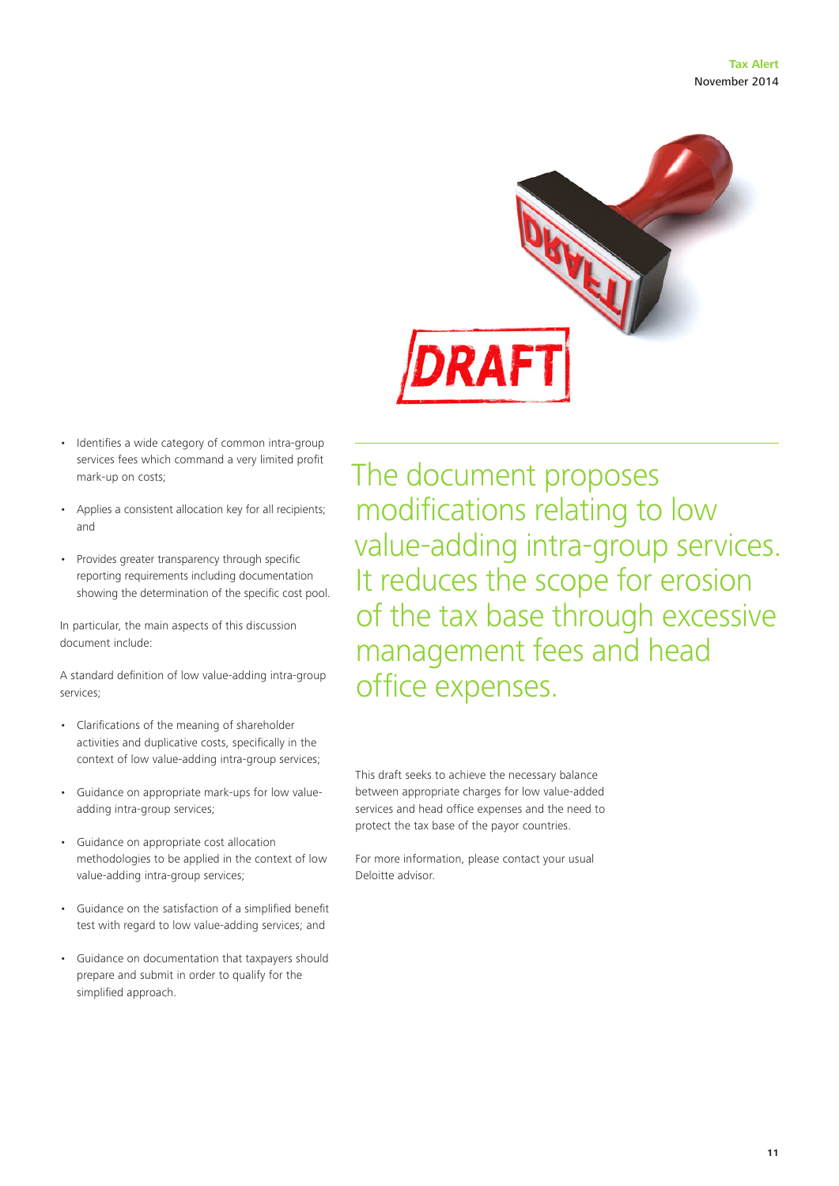

- Identifies a wide category of common intra-group services fees which command a very limited profit mark-up on costs;
- Applies a consistent allocation key for all recipients; and
- Provides greater transparency through specific reporting requirements including documentation showing the determination of the specific cost pool.

In particular, the main aspects of this discussion document include:

A standard definition of low value-adding intra-group services;

- Clarifications of the meaning of shareholder activities and duplicative costs, specifically in the context of low value-adding intra-group services;
- Guidance on appropriate mark-ups for low valueadding intra-group services;
- Guidance on appropriate cost allocation methodologies to be applied in the context of low value-adding intra-group services;
- Guidance on the satisfaction of a simplified benefit test with regard to low value-adding services; and
- Guidance on documentation that taxpayers should prepare and submit in order to qualify for the simplified approach.

The document proposes modifications relating to low value-adding intra-group services. It reduces the scope for erosion of the tax base through excessive management fees and head office expenses.

This draft seeks to achieve the necessary balance between appropriate charges for low value-added services and head office expenses and the need to protect the tax base of the payor countries.

For more information, please contact your usual Deloitte advisor.